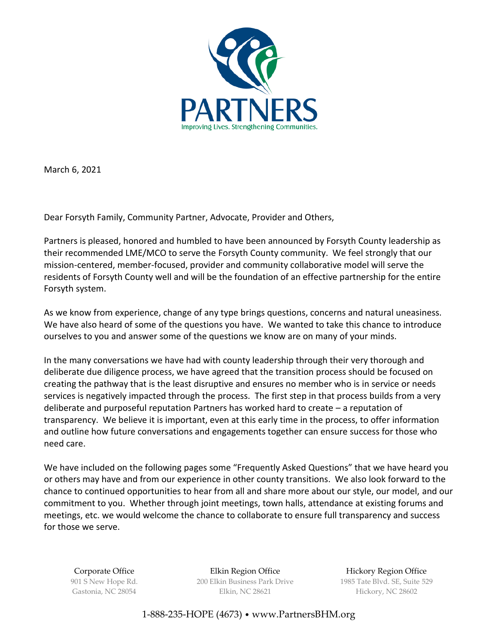

March 6, 2021

Dear Forsyth Family, Community Partner, Advocate, Provider and Others,

Partners is pleased, honored and humbled to have been announced by Forsyth County leadership as their recommended LME/MCO to serve the Forsyth County community. We feel strongly that our mission-centered, member-focused, provider and community collaborative model will serve the residents of Forsyth County well and will be the foundation of an effective partnership for the entire Forsyth system.

As we know from experience, change of any type brings questions, concerns and natural uneasiness. We have also heard of some of the questions you have. We wanted to take this chance to introduce ourselves to you and answer some of the questions we know are on many of your minds.

In the many conversations we have had with county leadership through their very thorough and deliberate due diligence process, we have agreed that the transition process should be focused on creating the pathway that is the least disruptive and ensures no member who is in service or needs services is negatively impacted through the process. The first step in that process builds from a very deliberate and purposeful reputation Partners has worked hard to create – a reputation of transparency. We believe it is important, even at this early time in the process, to offer information and outline how future conversations and engagements together can ensure success for those who need care.

We have included on the following pages some "Frequently Asked Questions" that we have heard you or others may have and from our experience in other county transitions. We also look forward to the chance to continued opportunities to hear from all and share more about our style, our model, and our commitment to you. Whether through joint meetings, town halls, attendance at existing forums and meetings, etc. we would welcome the chance to collaborate to ensure full transparency and success for those we serve.

Corporate Office 901 S New Hope Rd. Gastonia, NC 28054

Elkin Region Office 200 Elkin Business Park Drive Elkin, NC 28621

Hickory Region Office 1985 Tate Blvd. SE, Suite 529 Hickory, NC 28602

1-888-235-HOPE (4673) • [www.PartnersBHM.org](http://www.partnersbhm.org/)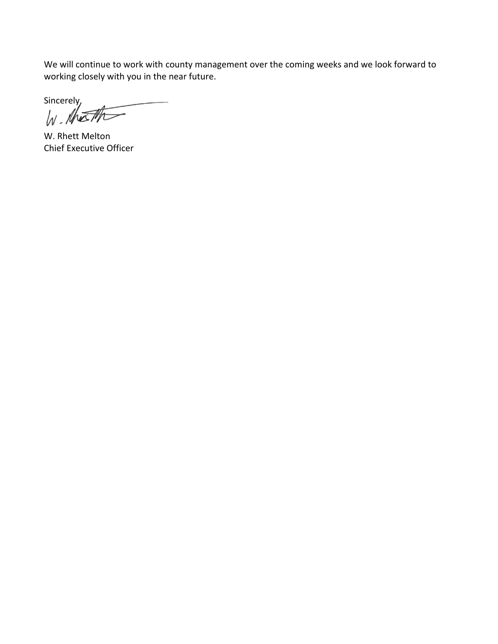We will continue to work with county management over the coming weeks and we look forward to working closely with you in the near future.

Sincerely,  $\sqrt{N}$ 

W. Rhett Melton Chief Executive Officer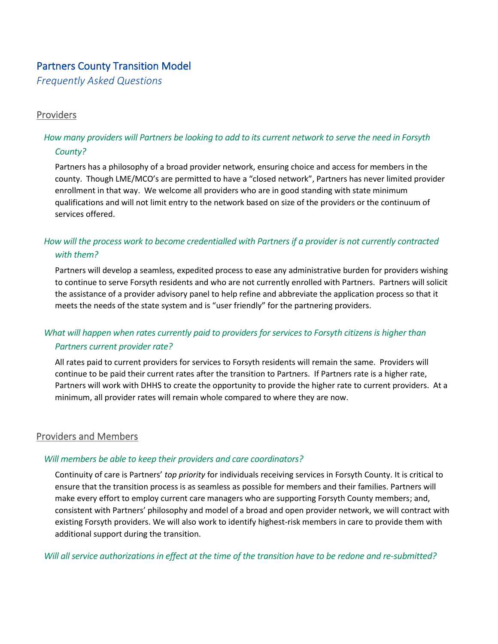# Partners County Transition Model

*Frequently Asked Questions*

## Providers

## *How many providers will Partners be looking to add to its current network to serve the need in Forsyth County?*

Partners has a philosophy of a broad provider network, ensuring choice and access for members in the county. Though LME/MCO's are permitted to have a "closed network", Partners has never limited provider enrollment in that way. We welcome all providers who are in good standing with state minimum qualifications and will not limit entry to the network based on size of the providers or the continuum of services offered.

## *How will the process work to become credentialled with Partners if a provider is not currently contracted with them?*

Partners will develop a seamless, expedited process to ease any administrative burden for providers wishing to continue to serve Forsyth residents and who are not currently enrolled with Partners. Partners will solicit the assistance of a provider advisory panel to help refine and abbreviate the application process so that it meets the needs of the state system and is "user friendly" for the partnering providers.

# *What will happen when rates currently paid to providers for services to Forsyth citizens is higher than Partners current provider rate?*

All rates paid to current providers for services to Forsyth residents will remain the same. Providers will continue to be paid their current rates after the transition to Partners. If Partners rate is a higher rate, Partners will work with DHHS to create the opportunity to provide the higher rate to current providers. At a minimum, all provider rates will remain whole compared to where they are now.

## Providers and Members

#### *Will members be able to keep their providers and care coordinators?*

Continuity of care is Partners' *top priority* for individuals receiving services in Forsyth County. It is critical to ensure that the transition process is as seamless as possible for members and their families. Partners will make every effort to employ current care managers who are supporting Forsyth County members; and, consistent with Partners' philosophy and model of a broad and open provider network, we will contract with existing Forsyth providers. We will also work to identify highest-risk members in care to provide them with additional support during the transition.

*Will all service authorizations in effect at the time of the transition have to be redone and re-submitted?*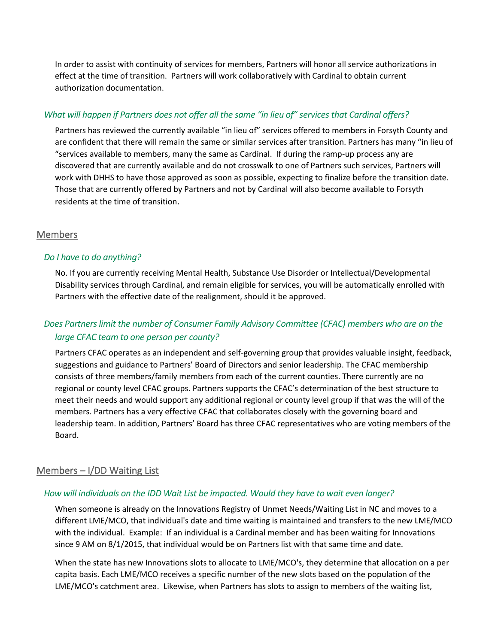In order to assist with continuity of services for members, Partners will honor all service authorizations in effect at the time of transition. Partners will work collaboratively with Cardinal to obtain current authorization documentation.

## *What will happen if Partners does not offer all the same "in lieu of" services that Cardinal offers?*

Partners has reviewed the currently available "in lieu of" services offered to members in Forsyth County and are confident that there will remain the same or similar services after transition. Partners has many "in lieu of "services available to members, many the same as Cardinal. If during the ramp-up process any are discovered that are currently available and do not crosswalk to one of Partners such services, Partners will work with DHHS to have those approved as soon as possible, expecting to finalize before the transition date. Those that are currently offered by Partners and not by Cardinal will also become available to Forsyth residents at the time of transition.

## **Members**

### *Do I have to do anything?*

No. If you are currently receiving Mental Health, Substance Use Disorder or Intellectual/Developmental Disability services through Cardinal, and remain eligible for services, you will be automatically enrolled with Partners with the effective date of the realignment, should it be approved.

# *Does Partners limit the number of Consumer Family Advisory Committee (CFAC) members who are on the large CFAC team to one person per county?*

Partners CFAC operates as an independent and self-governing group that provides valuable insight, feedback, suggestions and guidance to Partners' Board of Directors and senior leadership. The CFAC membership consists of three members/family members from each of the current counties. There currently are no regional or county level CFAC groups. Partners supports the CFAC's determination of the best structure to meet their needs and would support any additional regional or county level group if that was the will of the members. Partners has a very effective CFAC that collaborates closely with the governing board and leadership team. In addition, Partners' Board has three CFAC representatives who are voting members of the Board.

## Members – I/DD Waiting List

#### *How will individuals on the IDD Wait List be impacted. Would they have to wait even longer?*

When someone is already on the Innovations Registry of Unmet Needs/Waiting List in NC and moves to a different LME/MCO, that individual's date and time waiting is maintained and transfers to the new LME/MCO with the individual. Example: If an individual is a Cardinal member and has been waiting for Innovations since 9 AM on 8/1/2015, that individual would be on Partners list with that same time and date.

When the state has new Innovations slots to allocate to LME/MCO's, they determine that allocation on a per capita basis. Each LME/MCO receives a specific number of the new slots based on the population of the LME/MCO's catchment area. Likewise, when Partners has slots to assign to members of the waiting list,